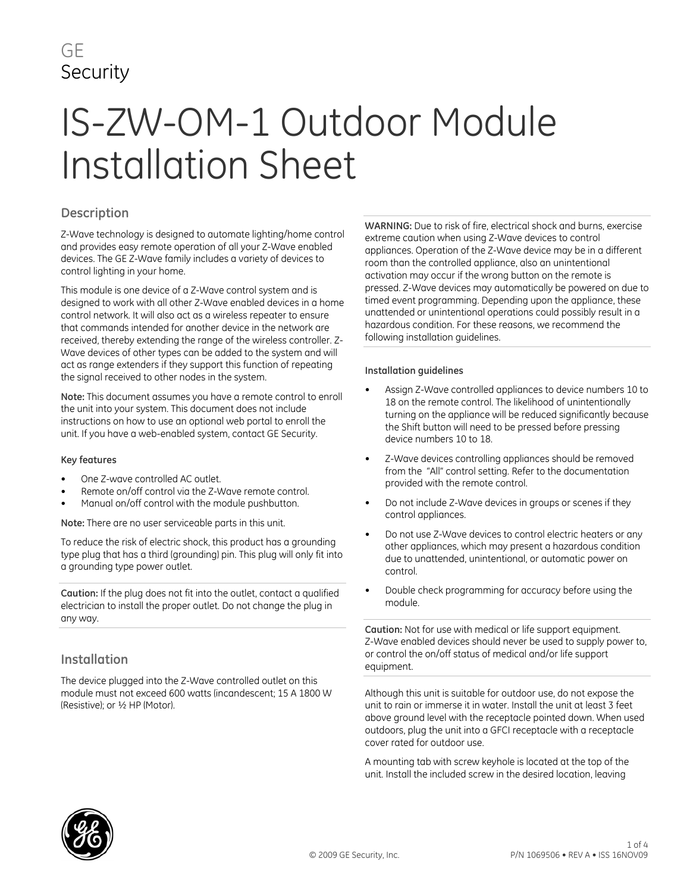# GE **Security**

# IS-ZW-OM-1 Outdoor Module Installation Sheet

# **Description**

Z-Wave technology is designed to automate lighting/home control and provides easy remote operation of all your Z-Wave enabled devices. The GE Z-Wave family includes a variety of devices to control lighting in your home.

This module is one device of a Z-Wave control system and is designed to work with all other Z-Wave enabled devices in a home control network. It will also act as a wireless repeater to ensure that commands intended for another device in the network are received, thereby extending the range of the wireless controller. Z-Wave devices of other types can be added to the system and will act as range extenders if they support this function of repeating the signal received to other nodes in the system.

**Note:** This document assumes you have a remote control to enroll the unit into your system. This document does not include instructions on how to use an optional web portal to enroll the unit. If you have a web-enabled system, contact GE Security.

#### **Key features**

- One Z-wave controlled AC outlet.
- Remote on/off control via the Z-Wave remote control.
- Manual on/off control with the module pushbutton.

**Note:** There are no user serviceable parts in this unit.

To reduce the risk of electric shock, this product has a grounding type plug that has a third (grounding) pin. This plug will only fit into a grounding type power outlet.

**Caution:** If the plug does not fit into the outlet, contact a qualified electrician to install the proper outlet. Do not change the plug in any way.

# **Installation**

The device plugged into the Z-Wave controlled outlet on this module must not exceed 600 watts (incandescent; 15 A 1800 W (Resistive); or ½ HP (Motor).

**WARNING:** Due to risk of fire, electrical shock and burns, exercise extreme caution when using Z-Wave devices to control appliances. Operation of the Z-Wave device may be in a different room than the controlled appliance, also an unintentional activation may occur if the wrong button on the remote is pressed. Z-Wave devices may automatically be powered on due to timed event programming. Depending upon the appliance, these unattended or unintentional operations could possibly result in a hazardous condition. For these reasons, we recommend the following installation guidelines.

#### **Installation guidelines**

- Assign Z-Wave controlled appliances to device numbers 10 to 18 on the remote control. The likelihood of unintentionally turning on the appliance will be reduced significantly because the Shift button will need to be pressed before pressing device numbers 10 to 18.
- Z-Wave devices controlling appliances should be removed from the "All" control setting. Refer to the documentation provided with the remote control.
- Do not include Z-Wave devices in groups or scenes if they control appliances.
- Do not use Z-Wave devices to control electric heaters or any other appliances, which may present a hazardous condition due to unattended, unintentional, or automatic power on control.
- Double check programming for accuracy before using the module.

**Caution:** Not for use with medical or life support equipment. Z-Wave enabled devices should never be used to supply power to, or control the on/off status of medical and/or life support equipment.

Although this unit is suitable for outdoor use, do not expose the unit to rain or immerse it in water. Install the unit at least 3 feet above ground level with the receptacle pointed down. When used outdoors, plug the unit into a GFCI receptacle with a receptacle cover rated for outdoor use.

A mounting tab with screw keyhole is located at the top of the unit. Install the included screw in the desired location, leaving

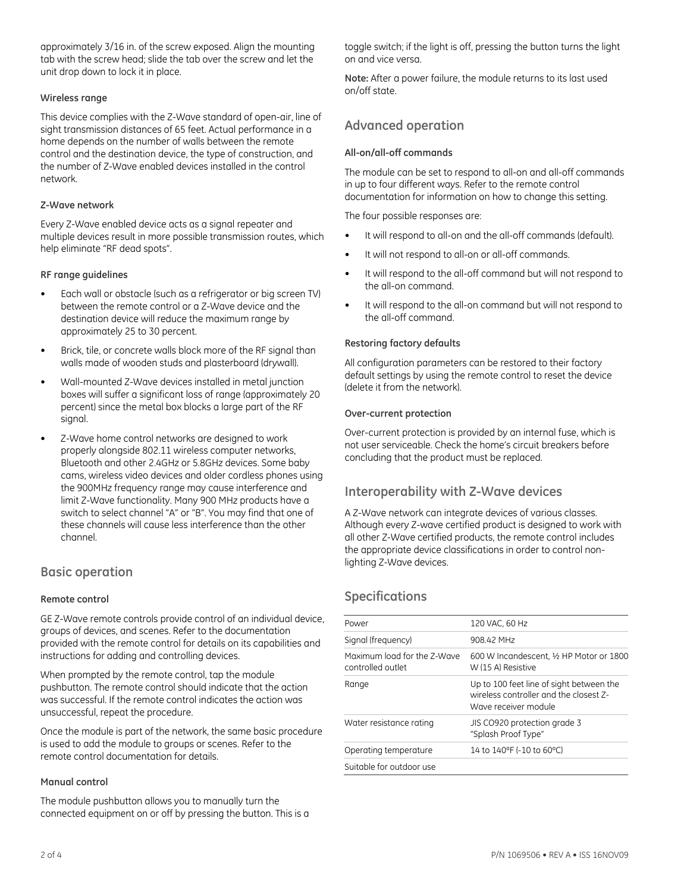approximately 3/16 in. of the screw exposed. Align the mounting tab with the screw head; slide the tab over the screw and let the unit drop down to lock it in place.

#### **Wireless range**

This device complies with the Z-Wave standard of open-air, line of sight transmission distances of 65 feet. Actual performance in a home depends on the number of walls between the remote control and the destination device, the type of construction, and the number of Z-Wave enabled devices installed in the control network.

#### **Z-Wave network**

Every Z-Wave enabled device acts as a signal repeater and multiple devices result in more possible transmission routes, which help eliminate "RF dead spots".

#### **RF range guidelines**

- Each wall or obstacle (such as a refrigerator or big screen TV) between the remote control or a Z-Wave device and the destination device will reduce the maximum range by approximately 25 to 30 percent.
- Brick, tile, or concrete walls block more of the RF signal than walls made of wooden studs and plasterboard (drywall).
- Wall-mounted Z-Wave devices installed in metal junction boxes will suffer a significant loss of range (approximately 20 percent) since the metal box blocks a large part of the RF signal.
- Z-Wave home control networks are designed to work properly alongside 802.11 wireless computer networks, Bluetooth and other 2.4GHz or 5.8GHz devices. Some baby cams, wireless video devices and older cordless phones using the 900MHz frequency range may cause interference and limit Z-Wave functionality. Many 900 MHz products have a switch to select channel "A" or "B". You may find that one of these channels will cause less interference than the other channel.

#### **Basic operation**

#### **Remote control**

GE Z-Wave remote controls provide control of an individual device, groups of devices, and scenes. Refer to the documentation provided with the remote control for details on its capabilities and instructions for adding and controlling devices.

When prompted by the remote control, tap the module pushbutton. The remote control should indicate that the action was successful. If the remote control indicates the action was unsuccessful, repeat the procedure.

Once the module is part of the network, the same basic procedure is used to add the module to groups or scenes. Refer to the remote control documentation for details.

#### **Manual control**

The module pushbutton allows you to manually turn the connected equipment on or off by pressing the button. This is a toggle switch; if the light is off, pressing the button turns the light on and vice versa.

**Note:** After a power failure, the module returns to its last used on/off state.

# **Advanced operation**

#### **All-on/all-off commands**

The module can be set to respond to all-on and all-off commands in up to four different ways. Refer to the remote control documentation for information on how to change this setting.

The four possible responses are:

- It will respond to all-on and the all-off commands (default).
- It will not respond to all-on or all-off commands.
- It will respond to the all-off command but will not respond to the all-on command.
- It will respond to the all-on command but will not respond to the all-off command.

#### **Restoring factory defaults**

All configuration parameters can be restored to their factory default settings by using the remote control to reset the device (delete it from the network).

#### **Over-current protection**

Over-current protection is provided by an internal fuse, which is not user serviceable. Check the home's circuit breakers before concluding that the product must be replaced.

# **Interoperability with Z-Wave devices**

A Z-Wave network can integrate devices of various classes. Although every Z-wave certified product is designed to work with all other Z-Wave certified products, the remote control includes the appropriate device classifications in order to control nonlighting Z-Wave devices.

# **Specifications**

| Power                                            | 120 VAC, 60 Hz                                                                                             |
|--------------------------------------------------|------------------------------------------------------------------------------------------------------------|
| Signal (frequency)                               | 908.42 MHz                                                                                                 |
| Maximum load for the Z-Wave<br>controlled outlet | 600 W Incandescent, 1/2 HP Motor or 1800<br>W (15 A) Resistive                                             |
| Range                                            | Up to 100 feet line of sight between the<br>wireless controller and the closest Z-<br>Wave receiver module |
| Water resistance rating                          | JIS CO920 protection grade 3<br>"Splash Proof Type"                                                        |
| Operating temperature                            | 14 to 140°F (-10 to 60°C)                                                                                  |
| Suitable for outdoor use                         |                                                                                                            |